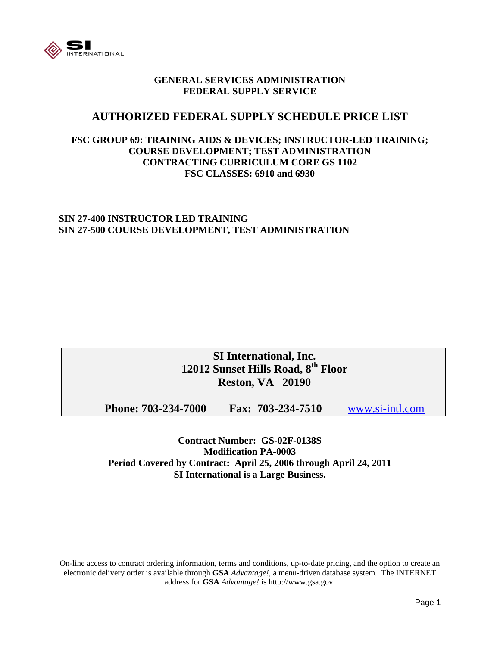

### **GENERAL SERVICES ADMINISTRATION FEDERAL SUPPLY SERVICE**

### **AUTHORIZED FEDERAL SUPPLY SCHEDULE PRICE LIST**

### **FSC GROUP 69: TRAINING AIDS & DEVICES; INSTRUCTOR-LED TRAINING; COURSE DEVELOPMENT; TEST ADMINISTRATION CONTRACTING CURRICULUM CORE GS 1102 FSC CLASSES: 6910 and 6930**

### **SIN 27-400 INSTRUCTOR LED TRAINING SIN 27-500 COURSE DEVELOPMENT, TEST ADMINISTRATION**

### **SI International, Inc. 12012 Sunset Hills Road, 8th Floor Reston, VA 20190**

**Phone: 703-234-7000 Fax: 703-234-7510** www.si-intl.com

**Contract Number: GS-02F-0138S Modification PA-0003 Period Covered by Contract: April 25, 2006 through April 24, 2011 SI International is a Large Business.** 

On-line access to contract ordering information, terms and conditions, up-to-date pricing, and the option to create an electronic delivery order is available through **GSA** *Advantage!*, a menu-driven database system. The INTERNET address for **GSA** *Advantage!* is http://www.gsa.gov.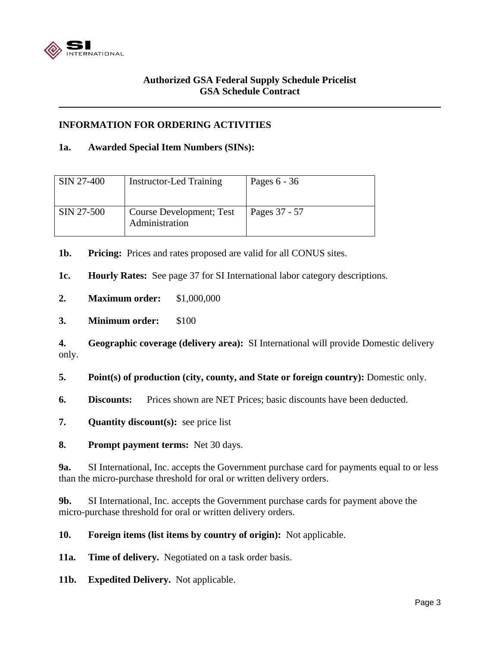

### **Authorized GSA Federal Supply Schedule Pricelist GSA Schedule Contract**

### **INFORMATION FOR ORDERING ACTIVITIES**

### **1a. Awarded Special Item Numbers (SINs):**

| SIN 27-400 | Instructor-Led Training                    | Pages $6 - 36$ |
|------------|--------------------------------------------|----------------|
| SIN 27-500 | Course Development; Test<br>Administration | Pages 37 - 57  |

**1b. Pricing:** Prices and rates proposed are valid for all CONUS sites.

**1c. Hourly Rates:** See page 37 for SI International labor category descriptions.

- **2. Maximum order:** \$1,000,000
- **3. Minimum order:** \$100

**4. Geographic coverage (delivery area):** SI International will provide Domestic delivery only.

**5. Point(s) of production (city, county, and State or foreign country):** Domestic only.

- **6. Discounts:** Prices shown are NET Prices; basic discounts have been deducted.
- **7. Quantity discount(s):** see price list
- **8. Prompt payment terms:** Net 30 days.

**9a.** SI International, Inc. accepts the Government purchase card for payments equal to or less than the micro-purchase threshold for oral or written delivery orders.

**9b.** SI International, Inc. accepts the Government purchase cards for payment above the micro-purchase threshold for oral or written delivery orders.

**10. Foreign items (list items by country of origin):** Not applicable.

**11a. Time of delivery.** Negotiated on a task order basis.

**11b. Expedited Delivery.** Not applicable.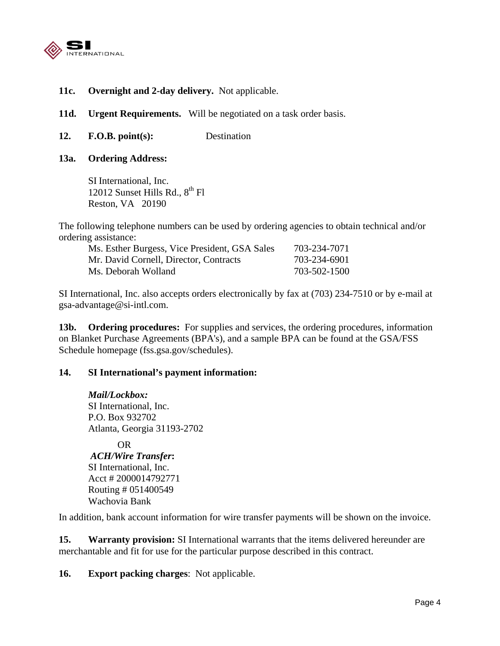

- **11c. Overnight and 2-day delivery.** Not applicable.
- 11d. Urgent Requirements. Will be negotiated on a task order basis.
- **12. F.O.B. point(s):** Destination
- **13a. Ordering Address:**

SI International, Inc. 12012 Sunset Hills Rd.,  $8^{th}$  Fl Reston, VA 20190

The following telephone numbers can be used by ordering agencies to obtain technical and/or ordering assistance:

| Ms. Esther Burgess, Vice President, GSA Sales | 703-234-7071 |
|-----------------------------------------------|--------------|
| Mr. David Cornell, Director, Contracts        | 703-234-6901 |
| Ms. Deborah Wolland                           | 703-502-1500 |

SI International, Inc. also accepts orders electronically by fax at (703) 234-7510 or by e-mail at gsa-advantage@si-intl.com.

**13b. Ordering procedures:** For supplies and services, the ordering procedures, information on Blanket Purchase Agreements (BPA's), and a sample BPA can be found at the GSA/FSS Schedule homepage (fss.gsa.gov/schedules).

### **14. SI International's payment information:**

*Mail/Lockbox:*  SI International, Inc. P.O. Box 932702 Atlanta, Georgia 31193-2702

OR *ACH/Wire Transfer***:**  SI International, Inc. Acct # 2000014792771 Routing # 051400549 Wachovia Bank

In addition, bank account information for wire transfer payments will be shown on the invoice.

**15. Warranty provision:** SI International warrants that the items delivered hereunder are merchantable and fit for use for the particular purpose described in this contract.

**16. Export packing charges**: Not applicable.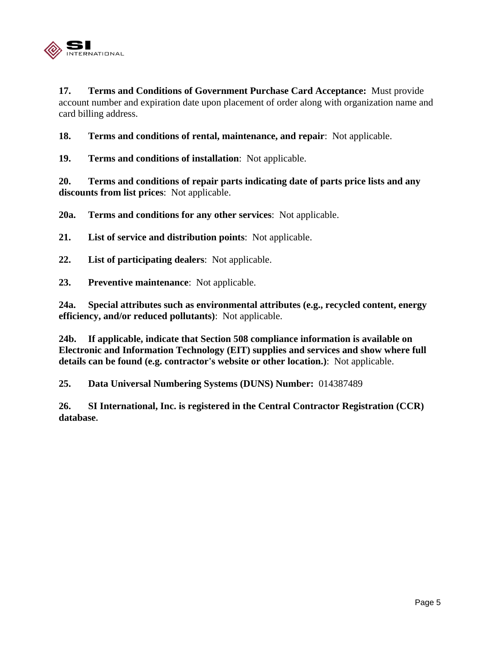

**17. Terms and Conditions of Government Purchase Card Acceptance:** Must provide account number and expiration date upon placement of order along with organization name and card billing address.

**18. Terms and conditions of rental, maintenance, and repair**: Not applicable.

**19. Terms and conditions of installation**: Not applicable.

**20. Terms and conditions of repair parts indicating date of parts price lists and any discounts from list prices**: Not applicable.

**20a. Terms and conditions for any other services**: Not applicable.

**21. List of service and distribution points**: Not applicable.

**22. List of participating dealers**: Not applicable.

**23. Preventive maintenance**: Not applicable.

**24a. Special attributes such as environmental attributes (e.g., recycled content, energy efficiency, and/or reduced pollutants)**: Not applicable.

**24b. If applicable, indicate that Section 508 compliance information is available on Electronic and Information Technology (EIT) supplies and services and show where full details can be found (e.g. contractor's website or other location.)**: Not applicable.

**25. Data Universal Numbering Systems (DUNS) Number:** 014387489

**26. SI International, Inc. is registered in the Central Contractor Registration (CCR) database.**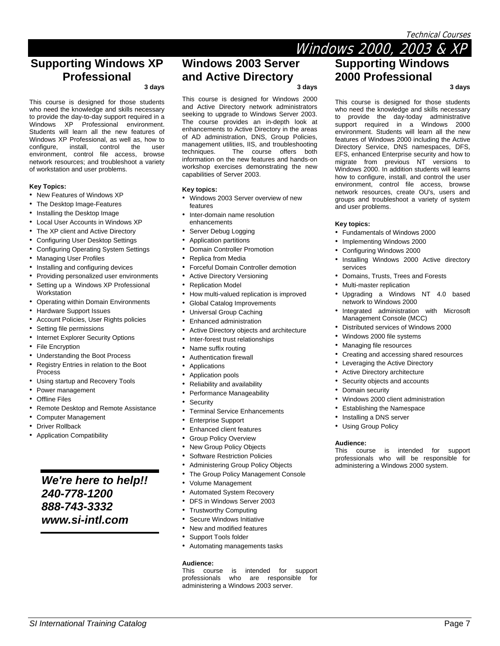Technical Courses

### **Supporting Windows XP Professional**

**3 days** 

This course is designed for those students who need the knowledge and skills necessary to provide the day-to-day support required in a Windows XP Professional environment. Students will learn all the new features of Windows XP Professional, as well as, how to configure, install, control the user environment, control file access, browse network resources; and troubleshoot a variety of workstation and user problems.

#### **Key Topics:**

- New Features of Windows XP
- The Desktop Image-Features
- Installing the Desktop Image
- Local User Accounts in Windows XP
- The XP client and Active Directory
- Configuring User Desktop Settings
- Configuring Operating System Settings
- Managing User Profiles
- Installing and configuring devices
- Providing personalized user environments
- Setting up a Windows XP Professional **Workstation**
- Operating within Domain Environments
- Hardware Support Issues
- Account Policies, User Rights policies
- Setting file permissions
- Internet Explorer Security Options
- File Encryption
- Understanding the Boot Process
- Registry Entries in relation to the Boot Process
- Using startup and Recovery Tools
- Power management
- **Offline Files**
- Remote Desktop and Remote Assistance
- Computer Management
- **Driver Rollback**
- Application Compatibility

## *We're here to help!! 240-778-1200 888-743-3332 www.si-intl.com*

### **Windows 2003 Server and Active Directory**

#### **3 days**

This course is designed for Windows 2000 and Active Directory network administrators seeking to upgrade to Windows Server 2003. The course provides an in-depth look at enhancements to Active Directory in the areas of AD administration, DNS, Group Policies, management utilities, IIS, and troubleshooting techniques. The course offers both information on the new features and hands-on workshop exercises demonstrating the new capabilities of Server 2003.

#### **Key topics:**

- Windows 2003 Server overview of new features
- Inter-domain name resolution enhancements
- Server Debug Logging
- Application partitions
- Domain Controller Promotion
- Replica from Media
- Forceful Domain Controller demotion
- **Active Directory Versioning**
- Replication Model
- How multi-valued replication is improved
- Global Catalog Improvements
- Universal Group Caching
- Enhanced administration
- Active Directory objects and architecture
- Inter-forest trust relationships
- Name suffix routing
- Authentication firewall
- **Applications**
- Application pools
- Reliability and availability
- Performance Manageability
- **Security**
- **Terminal Service Enhancements**
- Enterprise Support
- Enhanced client features
- **Group Policy Overview**
- **New Group Policy Objects**
- Software Restriction Policies
- Administering Group Policy Objects
- The Group Policy Management Console
- Volume Management
- Automated System Recovery
- DFS in Windows Server 2003
- Trustworthy Computing
- Secure Windows Initiative
- New and modified features
- Support Tools folder
- Automating managements tasks

#### **Audience:**

This course is intended for support professionals who are responsible for administering a Windows 2003 server.

**SI International Training Catalog Page 7 Page 7 Page 7 Page 7 Page 7 Page 7 Page 7** 

# Windows 2000, 2003 & XP **Supporting Windows 2000 Professional**

**3 days** 

This course is designed for those students who need the knowledge and skills necessary to provide the day-today administrative support required in a Windows 2000 environment. Students will learn all the new features of Windows 2000 including the Active Directory Service, DNS namespaces, DFS, EFS, enhanced Enterprise security and how to migrate from previous NT versions to Windows 2000. In addition students will learns how to configure, install, and control the user environment, control file access, browse network resources, create OU's, users and groups and troubleshoot a variety of system and user problems.

#### **Key topics:**

- Fundamentals of Windows 2000
- Implementing Windows 2000
- Configuring Windows 2000
- Installing Windows 2000 Active directory services
- Domains, Trusts, Trees and Forests
- Multi-master replication
- Upgrading a Windows NT 4.0 based network to Windows 2000
- Integrated administration with Microsoft Management Console (MCC)
- Distributed services of Windows 2000
- Windows 2000 file systems
- Managing file resources
- Creating and accessing shared resources
- Leveraging the Active Directory
- Active Directory architecture
- Security objects and accounts
- Domain security
- Windows 2000 client administration

This course is intended for support professionals who will be responsible for administering a Windows 2000 system.

- Establishing the Namespace
- Installing a DNS server
- Using Group Policy

**Audience:**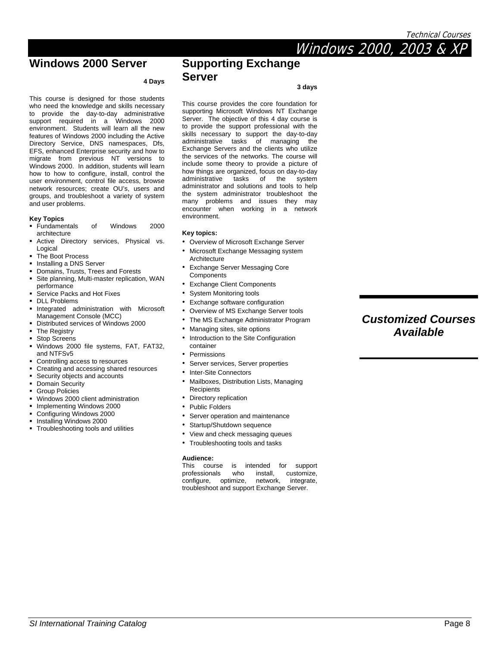# Windows 2000, 2003 & XP

### **Windows 2000 Server**

#### **4 Days**

This course is designed for those students who need the knowledge and skills necessary to provide the day-to-day administrative support required in a Windows 2000 environment. Students will learn all the new features of Windows 2000 including the Active Directory Service, DNS namespaces, Dfs, EFS, enhanced Enterprise security and how to migrate from previous NT versions to Windows 2000. In addition, students will learn how to how to configure, install, control the user environment, control file access, browse network resources; create OU's, users and groups, and troubleshoot a variety of system and user problems.

#### **Key Topics**

- Fundamentals of Windows 2000 architecture
- Active Directory services, Physical vs. Logical
- The Boot Process
- **Installing a DNS Server**
- Domains, Trusts, Trees and Forests
- Site planning, Multi-master replication, WAN performance
- Service Packs and Hot Fixes
- DLL Problems
- Integrated administration with Microsoft Management Console (MCC)
- Distributed services of Windows 2000
- The Registry
- Stop Screens
- Windows 2000 file systems, FAT, FAT32, and NTFSv5
- Controlling access to resources
- Creating and accessing shared resources
- **Security objects and accounts**
- Domain Security
- Group Policies
- Windows 2000 client administration
- **Implementing Windows 2000**
- Configuring Windows 2000
- Installing Windows 2000
- Troubleshooting tools and utilities

### **Supporting Exchange Server**

#### **3 days**

This course provides the core foundation for supporting Microsoft Windows NT Exchange Server. The objective of this 4 day course is to provide the support professional with the skills necessary to support the day-to-day administrative tasks of managing the Exchange Servers and the clients who utilize the services of the networks. The course will include some theory to provide a picture of how things are organized, focus on day-to-day administrative tasks of the system administrator and solutions and tools to help the system administrator troubleshoot the many problems and issues they may encounter when working in a network environment.

#### **Key topics:**

- Overview of Microsoft Exchange Server
- Microsoft Exchange Messaging system Architecture
- Exchange Server Messaging Core **Components** 
	- **Exchange Client Components**
	- System Monitoring tools
	- Exchange software configuration
	- Overview of MS Exchange Server tools
	- The MS Exchange Administrator Program
	- Managing sites, site options
	- Introduction to the Site Configuration
	- container
	- Permissions
	- Server services, Server properties
	- Inter-Site Connectors
	- Mailboxes, Distribution Lists, Managing **Recipients**
	- Directory replication
	- Public Folders
	- Server operation and maintenance
	- Startup/Shutdown sequence
	- View and check messaging queues
	- Troubleshooting tools and tasks

**Audience:**  is intended for support<br>who install, customize. professionals who install, configure, optimize, network, integrate, troubleshoot and support Exchange Server.

### *Customized Courses Available*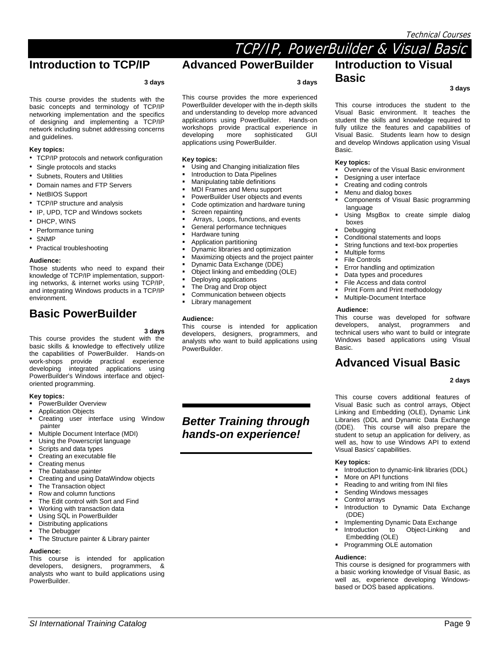#### Technical Courses

### TCP/IP, PowerBuilder & Visual Basic **Introduction to TCP/IP**

# **Advanced PowerBuilder**

**3 days** 

#### **3 days**

This course provides the students with the basic concepts and terminology of TCP/IP networking implementation and the specifics of designing and implementing a TCP/IP network including subnet addressing concerns and guidelines.

#### **Key topics:**

• TCP/IP protocols and network configuration

- Single protocols and stacks
- Subnets, Routers and Utilities
- Domain names and FTP Servers
- NetBIOS Support
- TCP/IP structure and analysis
- IP, UPD, TCP and Windows sockets
- DHCP, WINS
- Performance tuning
- SNMP
- Practical troubleshooting

#### **Audience:**

Those students who need to expand their knowledge of TCP/IP implementation, supporting networks, & internet works using TCP/IP, and integrating Windows products in a TCP/IP environment.

### **Basic PowerBuilder**

**3 days** 

This course provides the student with the basic skills & knowledge to effectively utilize the capabilities of PowerBuilder. Hands-on work-shops provide practical experience developing integrated applications using PowerBuilder's Windows interface and objectoriented programming.

#### **Key topics:**

- PowerBuilder Overview
- Application Objects
- Creating user interface using Window painter
- Multiple Document Interface (MDI)
- Using the Powerscript language
- Scripts and data types<br>Creating an executable
- Creating an executable file
- **Creating menus**
- The Database painter Creating and using DataWindow objects
- The Transaction object
- Row and column functions
- The Edit control with Sort and Find
- Working with transaction data
- Using SQL in PowerBuilder
- Distributing applications
- The Debugger
- The Structure painter & Library painter

#### **Audience:**

This course is intended for application developers, designers, programmers, & analysts who want to build applications using PowerBuilder.

This course provides the more experienced PowerBuilder developer with the in-depth skills and understanding to develop more advanced applications using PowerBuilder. Hands-on workshops provide practical experience in<br>developing more sophisticated GUI developing more sophisticated GUI applications using PowerBuilder.

#### **Key topics:**

- Using and Changing initialization files
- Introduction to Data Pipelines
- Manipulating table definitions
- MDI Frames and Menu support
- PowerBuilder User objects and events
- Code optimization and hardware tuning
- Screen repainting
- Arrays, Loops, functions, and events
- General performance techniques
- Hardware tuning
- Application partitioning
- Dynamic libraries and optimization
- Maximizing objects and the project painter
- Dynamic Data Exchange (DDE)
- Object linking and embedding (OLE)
- Deploying applications
- The Drag and Drop object
- Communication between objects
- Library management

#### **Audience:**

This course is intended for application developers, designers, programmers, and analysts who want to build applications using PowerBuilder.

### *Better Training through hands-on experience!*

**SI International Training Catalog Page 9 Page 9 Page 9 Page 9 Page 9 Page 9 Page 9 Page 9 Page 9 Page 9** 

### **Introduction to Visual Basic**

**3 days** 

This course introduces the student to the Visual Basic environment. It teaches the student the skills and knowledge required to fully utilize the features and capabilities of Visual Basic. Students learn how to design and develop Windows application using Visual Basic.

#### **Key topics:**

- Overview of the Visual Basic environment
- Designing a user interface
- Creating and coding controls
- Menu and dialog boxes
- Components of Visual Basic programming language
- Using MsgBox to create simple dialog boxes
- Debugging
- Conditional statements and loops
- String functions and text-box properties
- Multiple forms
- File Controls
- Error handling and optimization
- Data types and procedures
- File Access and data control
- Print Form and Print methodology
- Multiple-Document Interface

#### **Audience:**

This course was developed for software developers, analyst, programmers and technical users who want to build or integrate Windows based applications using Visual Basic.

### **Advanced Visual Basic**

#### **2 days**

This course covers additional features of Visual Basic such as control arrays, Object Linking and Embedding (OLE), Dynamic Link Libraries (DDL and Dynamic Data Exchange (DDE). This course will also prepare the student to setup an application for delivery, as well as, how to use Windows API to extend Visual Basics' capabilities.

#### **Key topics:**

**Audience:**

- Introduction to dynamic-link libraries (DDL)
- More on API functions

Embedding (OLE) **Programming OLE automation** 

- Reading to and writing from INI files
- Sending Windows messages

based or DOS based applications.

- Control arrays
- Introduction to Dynamic Data Exchange (DDE)

This course is designed for programmers with a basic working knowledge of Visual Basic, as well as, experience developing Windows-

 Implementing Dynamic Data Exchange Introduction to Object-Linking and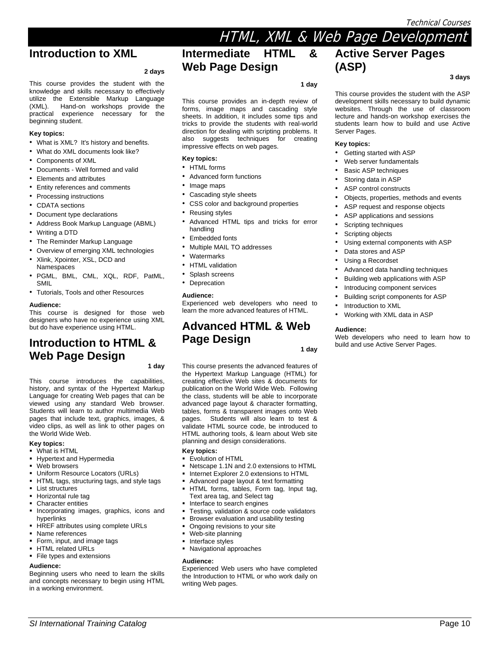# HTML, XML & Web Page Development

### **Introduction to XML**

#### **2 days**

This course provides the student with the knowledge and skills necessary to effectively utilize the Extensible Markup Language<br>(XML). Hand-on workshops provide the Hand-on workshops provide the practical experience necessary for the beginning student.

#### **Key topics:**

- What is XML? It's history and benefits.
- What do XML documents look like?
- Components of XML
- Documents Well formed and valid
- Elements and attributes
- Entity references and comments
- Processing instructions
- CDATA sections
- Document type declarations
- Address Book Markup Language (ABML)
- Writing a DTD
- The Reminder Markup Language
- Overview of emerging XML technologies
- Xlink, Xpointer, XSL, DCD and Namespaces
- PGML, BML, CML, XQL, RDF, PatML, SMIL
- Tutorials, Tools and other Resources

#### **Audience:**

This course is designed for those web designers who have no experience using XML but do have experience using HTML.

# **Introduction to HTML & Web Page Design**

**1 day** 

This course introduces the capabilities, history, and syntax of the Hypertext Markup Language for creating Web pages that can be viewed using any standard Web browser. Students will learn to author multimedia Web pages that include text, graphics, images, & video clips, as well as link to other pages on the World Wide Web.

### **Key topics:**

- **•** What is HTML
- **Hypertext and Hypermedia**
- Web browsers
- Uniform Resource Locators (URLs)
- **F** HTML tags, structuring tags, and style tags
- **List structures**
- **Horizontal rule tag**
- Character entities Incorporating images, graphics, icons and
- hyperlinks
- **HREF attributes using complete URLs**
- Name references
- Form, input, and image tags
- HTML related URLs **File types and extensions**

#### **Audience:**

Beginning users who need to learn the skills and concepts necessary to begin using HTML in a working environment.

**Intermediate HTML & Web Page Design** 

**1 day** 

This course provides an in-depth review of forms, image maps and cascading style sheets. In addition, it includes some tips and tricks to provide the students with real-world direction for dealing with scripting problems. It also suggests techniques for creating impressive effects on web pages.

#### **Key topics:**

- HTML forms
- Advanced form functions
- Image maps
- Cascading style sheets
- CSS color and background properties
- Reusing styles
- Advanced HTML tips and tricks for error handling
- Embedded fonts
- Multiple MAIL TO addresses
- **Watermarks**
- **HTML** validation
- Splash screens
- **Deprecation**

#### **Audience:**

Experienced web developers who need to learn the more advanced features of HTML.

### **Advanced HTML & Web Page Design**

**1 day** 

This course presents the advanced features of the Hypertext Markup Language (HTML) for creating effective Web sites & documents for publication on the World Wide Web. Following the class, students will be able to incorporate advanced page layout & character formatting, tables, forms & transparent images onto Web pages. Students will also learn to test & validate HTML source code, be introduced to HTML authoring tools, & learn about Web site planning and design considerations.

#### **Key topics:**

- Evolution of HTML
- Netscape 1.1N and 2.0 extensions to HTML
- Internet Explorer 2.0 extensions to HTML
- Advanced page layout & text formatting
- HTML forms, tables, Form tag, Input tag, Text area tag, and Select tag
- Interface to search engines
- Testing, validation & source code validators
- Browser evaluation and usability testing
- Ongoing revisions to your site
- Web-site planning Interface styles
- 
- Navigational approaches

#### **Audience:**

Experienced Web users who have completed the Introduction to HTML or who work daily on writing Web pages.

*SI International Training Catalog* Page 10

### **Active Server Pages (ASP)**

**3 days** 

This course provides the student with the ASP development skills necessary to build dynamic websites. Through the use of classroom lecture and hands-on workshop exercises the students learn how to build and use Active Server Pages.

#### **Key topics:**

- Getting started with ASP
- Web server fundamentals
- **Basic ASP techniques**
- Storing data in ASP
- ASP control constructs
- Objects, properties, methods and events
- ASP request and response objects
- ASP applications and sessions
- Scripting techniques
- Scripting objects
- Using external components with ASP
- Data stores and ASP

Introduction to XML

**Audience:** 

- Using a Recordset
- Advanced data handling techniques

Building script components for ASP

Web developers who need to learn how to

- Building web applications with ASP
- Introducing component services

• Working with XML data in ASP

build and use Active Server Pages.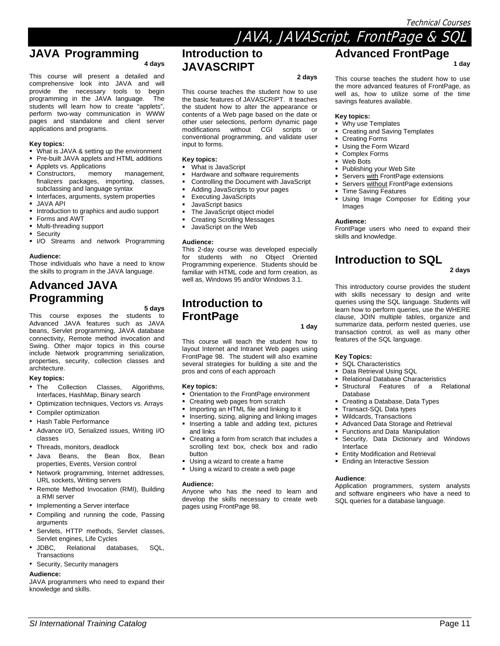**1 day** 

### **JAVA Programming**

**4 days** 

This course will present a detailed and comprehensive look into JAVA and will provide the necessary tools to begin programming in the JAVA language. The students will learn how to create "applets", perform two-way communication in WWW pages and standalone and client server applications and programs.

#### **Key topics:**

- What is JAVA & setting up the environment
- Pre-built JAVA applets and HTML additions
- Applets vs. Applications
- **Constructors, memory management,** finalizers packages, importing, classes, subclassing and language syntax
- $\blacksquare$  Interfaces, arguments, system properties
- JAVA API
- Introduction to graphics and audio support
- **Forms and AWT**
- Multi-threading support
- **Security**
- **I/O** Streams and network Programming

#### **Audience:**

Those individuals who have a need to know the skills to program in the JAVA language.

## **Advanced JAVA Programming**

**5 days** 

This course exposes the students to Advanced JAVA features such as JAVA beans, Servlet programming, JAVA database connectivity, Remote method invocation and Swing. Other major topics in this course include Network programming serialization, properties, security, collection classes and architecture.

#### **Key topics:**

- The Collection Classes, Algorithms, Interfaces, HashMap, Binary search
- Optimization techniques, Vectors vs. Arrays
- Compiler optimization
- Hash Table Performance
- Advance I/O, Serialized issues, Writing I/O classes
- Threads, monitors, deadlock
- Java Beans, the Bean Box, Bean properties, Events, Version control
- Network programming, Internet addresses, URL sockets, Writing servers
- Remote Method Invocation (RMI), Building a RMI server
- Implementing a Server interface
- Compiling and running the code, Passing arguments
- Servlets, HTTP methods, Servlet classes, Servlet engines, Life Cycles
- JDBC, Relational databases, SQL, Transactions
- Security, Security managers

#### **Audience:**

JAVA programmers who need to expand their knowledge and skills.

### **Introduction to JAVASCRIPT**

**2 days** 

This course teaches the student how to use the basic features of JAVASCRIPT. It teaches the student how to alter the appearance or contents of a Web page based on the date or other user selections, perform dynamic page modifications without CGI scripts or conventional programming, and validate user input to forms.

#### **Key topics:**

- What is JavaScript
- Hardware and software requirements
- Controlling the Document with JavaScript
- Adding JavaScripts to your pages
- Executing JavaScripts
- JavaScript basics
- The JavaScript object model
- Creating Scrolling Messages
- JavaScript on the Web

#### **Audience:**

This 2-day course was developed especially for students with no Object Oriented Programming experience. Students should be familiar with HTML code and form creation, as well as, Windows 95 and/or Windows 3.1.

### **Introduction to FrontPage**

**1 day** 

This course will teach the student how to layout Internet and Intranet Web pages using FrontPage 98. The student will also examine several strategies for building a site and the pros and cons of each approach

#### **Key topics:**

- Orientation to the FrontPage environment
- Creating web pages from scratch
- Importing an HTML file and linking to it
- Inserting, sizing, aligning and linking images **Inserting a table and adding text, pictures**
- and links
- Creating a form from scratch that includes a scrolling text box, check box and radio button
- Using a wizard to create a frame
- Using a wizard to create a web page

#### **Audience:**

Anyone who has the need to learn and develop the skills necessary to create web pages using FrontPage 98.

*SI International Training Catalog* Page 11

This course teaches the student how to use the more advanced features of FrontPage, as well as, how to utilize some of the time savings features available.

**Advanced FrontPage** 

#### **Key topics:**

JAVA, JAVAScript, FrontPage & SQL

- Why use Templates
- Creating and Saving Templates
- Creating Forms
- Using the Form Wizard
- Complex Forms
- Web Bots
- Publishing your Web Site
- Servers with FrontPage extensions
- Servers without FrontPage extensions
- Time Saving Features
- Using Image Composer for Editing your Images

#### **Audience:**

FrontPage users who need to expand their skills and knowledge.

### **Introduction to SQL**

### **2 days**

This introductory course provides the student with skills necessary to design and write queries using the SQL language. Students will learn how to perform queries, use the WHERE clause, JOIN multiple tables, organize and summarize data, perform nested queries, use transaction control, as well as many other features of the SQL language.

#### **Key Topics:**

- SQL Characteristics
- Data Retrieval Using SQL
- Relational Database Characteristics
- Structural Features of a Relational **Database**
- Creating a Database, Data Types
- Transact-SQL Data types
- Wildcards, Transactions
- Advanced Data Storage and Retrieval
- Functions and Data Manipulation
- Security, Data Dictionary and Windows Interface
- Entity Modification and Retrieval
- **Ending an Interactive Session**

#### **Audience**:

Application programmers, system analysts and software engineers who have a need to SQL queries for a database language.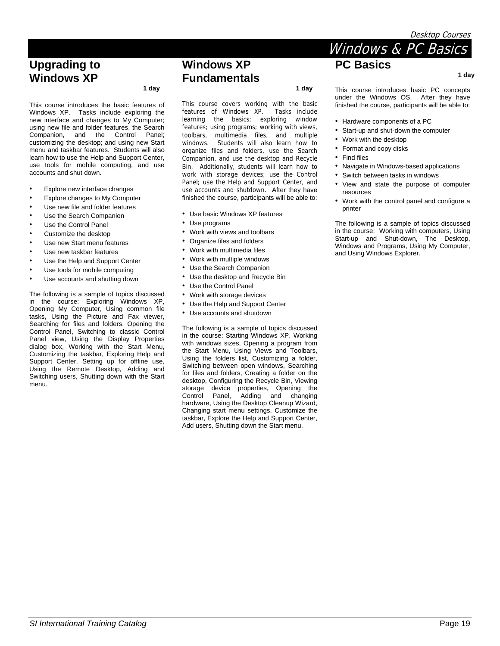**1 day** 

### **Upgrading to Windows XP**

 **1 day** 

This course introduces the basic features of Windows XP. Tasks include exploring the new interface and changes to My Computer; using new file and folder features, the Search Companion, and the Control Panel; customizing the desktop; and using new Start menu and taskbar features. Students will also learn how to use the Help and Support Center, use tools for mobile computing, and use accounts and shut down.

- Explore new interface changes
- Explore changes to My Computer
- Use new file and folder features
- Use the Search Companion
- Use the Control Panel
- Customize the desktop
- Use new Start menu features
- Use new taskbar features
- Use the Help and Support Center
- Use tools for mobile computing
- Use accounts and shutting down

The following is a sample of topics discussed in the course: Exploring Windows XP, Opening My Computer, Using common file tasks, Using the Picture and Fax viewer, Searching for files and folders, Opening the Control Panel, Switching to classic Control Panel view, Using the Display Properties dialog box, Working with the Start Menu, Customizing the taskbar, Exploring Help and Support Center, Setting up for offline use, Using the Remote Desktop, Adding and Switching users, Shutting down with the Start menu.

### **Windows XP Fundamentals**

 **1 day** 

This course covers working with the basic features of Windows XP. Tasks include learning the basics; exploring window features; using programs; working with views, toolbars, multimedia files, and multiple windows. Students will also learn how to organize files and folders, use the Search Companion, and use the desktop and Recycle Bin. Additionally, students will learn how to work with storage devices; use the Control Panel; use the Help and Support Center, and use accounts and shutdown. After they have finished the course, participants will be able to:

- Use basic Windows XP features
- Use programs
- Work with views and toolbars
- Organize files and folders
- Work with multimedia files
- Work with multiple windows
- Use the Search Companion
	- Use the desktop and Recycle Bin
	- Use the Control Panel
	- Work with storage devices
	- Use the Help and Support Center
	- Use accounts and shutdown

The following is a sample of topics discussed in the course: Starting Windows XP, Working with windows sizes, Opening a program from the Start Menu, Using Views and Toolbars, Using the folders list, Customizing a folder, Switching between open windows, Searching for files and folders, Creating a folder on the desktop, Configuring the Recycle Bin, Viewing storage device properties, Opening the Control Panel, Adding and changing hardware, Using the Desktop Cleanup Wizard, Changing start menu settings, Customize the taskbar, Explore the Help and Support Center, Add users, Shutting down the Start menu.

This course introduces basic PC concepts under the Windows OS. After they have finished the course, participants will be able to:

Windows & PC Basics

- Hardware components of a PC
- Start-up and shut-down the computer
- Work with the desktop

**PC Basics** 

- Format and copy disks
- Find files
- Navigate in Windows-based applications
- Switch between tasks in windows
- View and state the purpose of computer resources
- Work with the control panel and configure a printer

The following is a sample of topics discussed in the course: Working with computers, Using Start-up and Shut-down, The Desktop, Windows and Programs, Using My Computer, and Using Windows Explorer.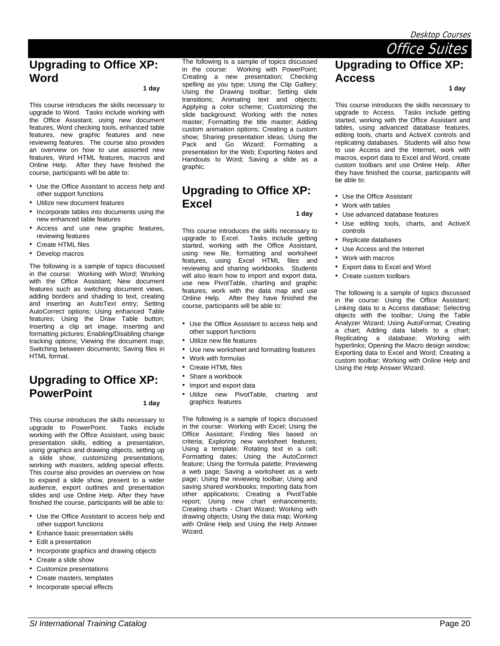### **Upgrading to Office XP: Word**

 **1 day** 

This course introduces the skills necessary to upgrade to Word. Tasks include working with the Office Assistant, using new document features, Word checking tools, enhanced table features, new graphic features and new reviewing features. The course also provides an overview on how to use assorted new features, Word HTML features, macros and Online Help. After they have finished the course, participants will be able to:

- Use the Office Assistant to access help and other support functions
- Utilize new document features
- Incorporate tables into documents using the new enhanced table features
- Access and use new graphic features, reviewing features
- Create HTML files
- Develop macros

The following is a sample of topics discussed in the course: Working with Word; Working with the Office Assistant; New document features such as switching document views, adding borders and shading to text, creating and inserting an AutoText entry; Setting AutoCorrect options; Using enhanced Table features; Using the Draw Table button; Inserting a clip art image; Inserting and formatting pictures; Enabling/Disabling change tracking options; Viewing the document map; Switching between documents; Saving files in HTML format.

### **Upgrading to Office XP: PowerPoint**

 **1 day** 

This course introduces the skills necessary to upgrade to PowerPoint. Tasks include working with the Office Assistant, using basic presentation skills, editing a presentation, using graphics and drawing objects, setting up a slide show, customizing presentations, working with masters, adding special effects. This course also provides an overview on how to expand a slide show, present to a wider audience, export outlines and presentation slides and use Online Help. After they have finished the course, participants will be able to:

- Use the Office Assistant to access help and other support functions
- Enhance basic presentation skills
- Edit a presentation
- Incorporate graphics and drawing objects
- Create a slide show
- Customize presentations
- Create masters, templates
- Incorporate special effects

The following is a sample of topics discussed in the course: Working with PowerPoint; Creating a new presentation; Checking spelling as you type; Using the Clip Gallery; Using the Drawing toolbar; Setting slide transitions; Animating text and objects; Applying a color scheme; Customizing the slide background; Working with the notes master; Formatting the title master; Adding custom animation options; Creating a custom show; Sharing presentation ideas; Using the Pack and Go Wizard; Formatting a presentation for the Web; Exporting Notes and Handouts to Word; Saving a slide as a graphic.

### **Upgrading to Office XP: Excel**

 **1 day** 

This course introduces the skills necessary to upgrade to Excel. Tasks include getting started, working with the Office Assistant, using new file, formatting and worksheet features, using Excel HTML files and reviewing and sharing workbooks. Students will also learn how to import and export data, use new PivotTable, charting and graphic features, work with the data map and use Online Help. After they have finished the course, participants will be able to:

- Use the Office Assistant to access help and other support functions
- Utilize new file features
- Use new worksheet and formatting features
- Work with formulas
- Create HTML files
- Share a workbook
- Import and export data
- Utilize new PivotTable, charting and graphics features

The following is a sample of topics discussed in the course: Working with Excel; Using the Office Assistant; Finding files based on criteria; Exploring new worksheet features; Using a template; Rotating text in a cell; Formatting dates; Using the AutoCorrect feature; Using the formula palette; Previewing a web page; Saving a worksheet as a web page; Using the reviewing toolbar; Using and saving shared workbooks; Importing data from other applications; Creating a PivotTable report; Using new chart enhancements; Creating charts - Chart Wizard; Working with drawing objects; Using the data map; Working with Online Help and Using the Help Answer Wizard.

 **1 day** 

This course introduces the skills necessary to upgrade to Access. Tasks include getting started, working with the Office Assistant and tables, using advanced database features, editing tools, charts and ActiveX controls and replicating databases. Students will also how to use Access and the Internet, work with macros, export data to Excel and Word, create custom toolbars and use Online Help. After they have finished the course, participants will be able to:

- Use the Office Assistant
- Work with tables
- Use advanced database features
- Use editing tools, charts, and ActiveX controls
- Replicate databases
- Use Access and the Internet
- Work with macros
- Export data to Excel and Word
- Create custom toolbars

The following is a sample of topics discussed in the course: Using the Office Assistant; Linking data to a Access database; Selecting objects with the toolbar; Using the Table Analyzer Wizard; Using AutoFormat; Creating a chart; Adding data labels to a chart; Replicating a database; Working with hyperlinks; Opening the Macro design window; Exporting data to Excel and Word; Creating a custom toolbar; Working with Online Help and Using the Help Answer Wizard.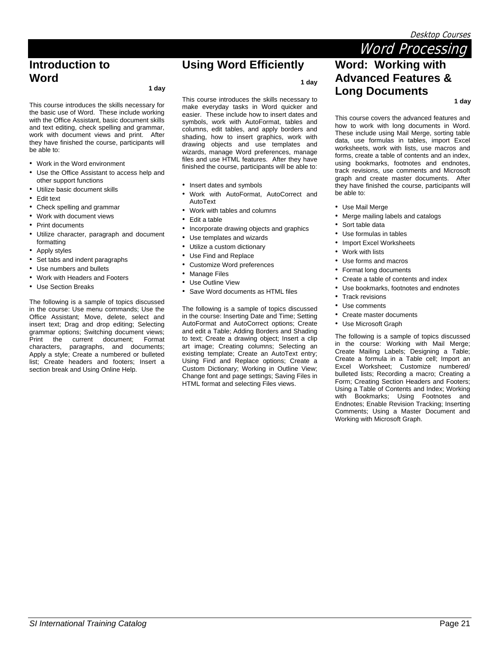**1 day** 

Word Processing

**Word: Working with Advanced Features &** 

### **Introduction to Word**

#### **1 day**

This course introduces the skills necessary for the basic use of Word. These include working with the Office Assistant, basic document skills and text editing, check spelling and grammar, work with document views and print. After they have finished the course, participants will be able to:

- Work in the Word environment
- Use the Office Assistant to access help and other support functions
- Utilize basic document skills
- Edit text
- Check spelling and grammar
- Work with document views
- Print documents
- Utilize character, paragraph and document formatting
- Apply styles
- Set tabs and indent paragraphs
- Use numbers and bullets
- Work with Headers and Footers
- Use Section Breaks

The following is a sample of topics discussed in the course: Use menu commands; Use the Office Assistant; Move, delete, select and insert text; Drag and drop editing; Selecting grammar options; Switching document views; Print the current document; Format characters, paragraphs, and documents; Apply a style; Create a numbered or bulleted list; Create headers and footers; Insert a section break and Using Online Help.

## **Using Word Efficiently**

**1 day** 

This course introduces the skills necessary to make everyday tasks in Word quicker and easier. These include how to insert dates and symbols, work with AutoFormat, tables and columns, edit tables, and apply borders and shading, how to insert graphics, work with drawing objects and use templates and wizards, manage Word preferences, manage files and use HTML features. After they have finished the course, participants will be able to:

- Insert dates and symbols
- Work with AutoFormat, AutoCorrect and AutoText
- Work with tables and columns
- Edit a table
- Incorporate drawing objects and graphics
- Use templates and wizards
- Utilize a custom dictionary
- Use Find and Replace
- Customize Word preferences
- **Manage Files**
- Use Outline View
- Save Word documents as HTML files

The following is a sample of topics discussed in the course: Inserting Date and Time; Setting AutoFormat and AutoCorrect options; Create and edit a Table; Adding Borders and Shading to text; Create a drawing object; Insert a clip art image; Creating columns; Selecting an existing template; Create an AutoText entry; Using Find and Replace options; Create a Custom Dictionary; Working in Outline View; Change font and page settings; Saving Files in HTML format and selecting Files views.

**Long Documents** 

This course covers the advanced features and how to work with long documents in Word. These include using Mail Merge, sorting table data, use formulas in tables, import Excel worksheets, work with lists, use macros and forms, create a table of contents and an index, using bookmarks, footnotes and endnotes, track revisions, use comments and Microsoft graph and create master documents. After they have finished the course, participants will be able to:

- Use Mail Merge
- Merge mailing labels and catalogs
- Sort table data
- Use formulas in tables
- Import Excel Worksheets
- Work with lists
- Use forms and macros
- Format long documents
- Create a table of contents and index
- Use bookmarks, footnotes and endnotes
- Track revisions
- Use comments
- Create master documents
- Use Microsoft Graph

The following is a sample of topics discussed in the course: Working with Mail Merge; Create Mailing Labels; Designing a Table; Create a formula in a Table cell; Import an Excel Worksheet; Customize numbered/ bulleted lists; Recording a macro; Creating a Form; Creating Section Headers and Footers; Using a Table of Contents and Index; Working with Bookmarks; Using Footnotes and Endnotes; Enable Revision Tracking; Inserting Comments; Using a Master Document and Working with Microsoft Graph.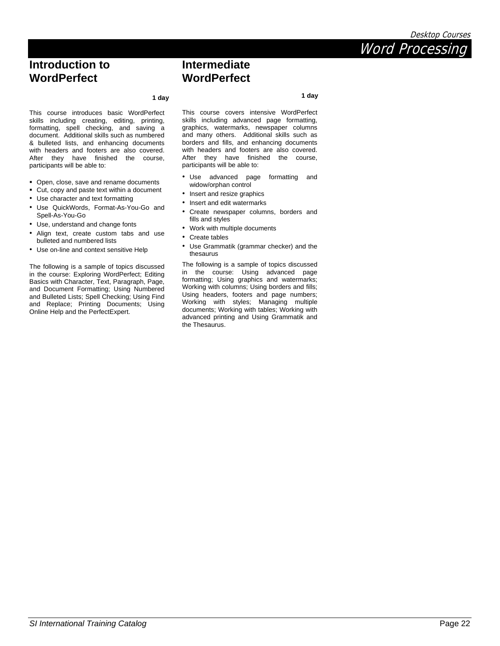# *SI International Training Catalog* Page 22

### **Intermediate WordPerfect**

#### **1 day**

This course introduces basic WordPerfect skills including creating, editing, printing, formatting, spell checking, and saving a document. Additional skills such as numbered & bulleted lists, and enhancing documents with headers and footers are also covered. After they have finished the course, participants will be able to:

- Open, close, save and rename documents
- Cut, copy and paste text within a document
- Use character and text formatting

**Introduction to WordPerfect** 

- Use QuickWords, Format-As-You-Go and Spell-As-You-Go
- Use, understand and change fonts
- Align text, create custom tabs and use bulleted and numbered lists
- Use on-line and context sensitive Help

The following is a sample of topics discussed in the course: Exploring WordPerfect; Editing Basics with Character, Text, Paragraph, Page, and Document Formatting; Using Numbered and Bulleted Lists; Spell Checking; Using Find and Replace; Printing Documents; Using Online Help and the PerfectExpert.

This course covers intensive WordPerfect skills including advanced page formatting, graphics, watermarks, newspaper columns and many others. Additional skills such as borders and fills, and enhancing documents with headers and footers are also covered. After they have finished the course, participants will be able to:

- Use advanced page formatting and widow/orphan control
- Insert and resize graphics
- Insert and edit watermarks
- Create newspaper columns, borders and fills and styles
- Work with multiple documents
- Create tables
- Use Grammatik (grammar checker) and the thesaurus

The following is a sample of topics discussed in the course: Using advanced page formatting; Using graphics and watermarks; Working with columns; Using borders and fills; Using headers, footers and page numbers; Working with styles; Managing multiple documents; Working with tables; Working with advanced printing and Using Grammatik and the Thesaurus.



 **1 day**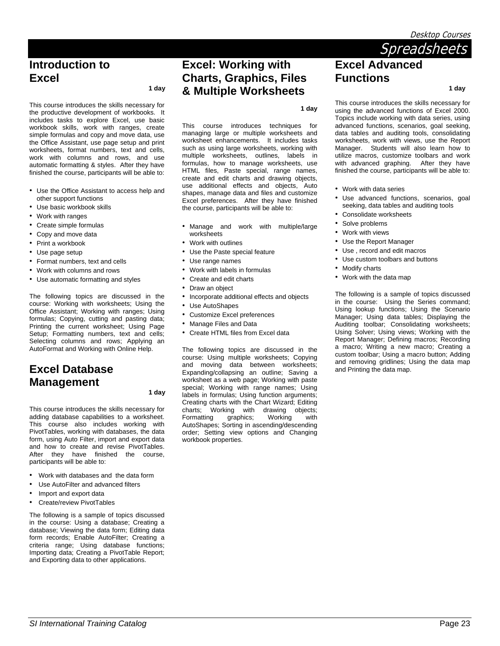Desktop Courses

### **Introduction to Excel**

 **1 day** 

This course introduces the skills necessary for the productive development of workbooks. It includes tasks to explore Excel, use basic workbook skills, work with ranges, create simple formulas and copy and move data, use the Office Assistant, use page setup and print worksheets, format numbers, text and cells, work with columns and rows, and use automatic formatting & styles. After they have finished the course, participants will be able to:

- Use the Office Assistant to access help and other support functions
- Use basic workbook skills
- Work with ranges
- Create simple formulas
- Copy and move data
- Print a workbook
- Use page setup
- Format numbers, text and cells
- Work with columns and rows
- Use automatic formatting and styles

The following topics are discussed in the course: Working with worksheets; Using the Office Assistant; Working with ranges; Using formulas; Copying, cutting and pasting data; Printing the current worksheet; Using Page Setup; Formatting numbers, text and cells; Selecting columns and rows; Applying an AutoFormat and Working with Online Help.

## **Excel Database Management**

 **1 day** 

This course introduces the skills necessary for adding database capabilities to a worksheet. This course also includes working with PivotTables, working with databases, the data form, using Auto Filter, import and export data and how to create and revise PivotTables. After they have finished the course, participants will be able to:

- Work with databases and the data form
- Use AutoFilter and advanced filters
- Import and export data
- Create/review PivotTables

The following is a sample of topics discussed in the course: Using a database; Creating a database; Viewing the data form; Editing data form records; Enable AutoFilter; Creating a criteria range; Using database functions; Importing data; Creating a PivotTable Report; and Exporting data to other applications.

### **Excel: Working with Charts, Graphics, Files & Multiple Worksheets**

**1 day** 

This course introduces techniques for managing large or multiple worksheets and worksheet enhancements. It includes tasks such as using large worksheets, working with multiple worksheets, outlines, labels in formulas, how to manage worksheets, use HTML files, Paste special, range names, create and edit charts and drawing objects, use additional effects and objects, Auto shapes, manage data and files and customize Excel preferences. After they have finished the course, participants will be able to:

- Manage and work with multiple/large worksheets
- Work with outlines
- Use the Paste special feature
- Use range names
- Work with labels in formulas
- Create and edit charts
- Draw an object
- Incorporate additional effects and objects
- Use AutoShapes
- Customize Excel preferences
- Manage Files and Data
- Create HTML files from Excel data

The following topics are discussed in the course: Using multiple worksheets; Copying and moving data between worksheets; Expanding/collapsing an outline; Saving a worksheet as a web page; Working with paste special; Working with range names; Using labels in formulas; Using function arguments; Creating charts with the Chart Wizard; Editing charts; Working with drawing objects; Formatting graphics; Working with AutoShapes; Sorting in ascending/descending order; Setting view options and Changing workbook properties.

**Spreadsheets Excel Advanced Functions** 

 **1 day** 

This course introduces the skills necessary for using the advanced functions of Excel 2000. Topics include working with data series, using advanced functions, scenarios, goal seeking, data tables and auditing tools, consolidating worksheets, work with views, use the Report Manager. Students will also learn how to utilize macros, customize toolbars and work with advanced graphing. After they have finished the course, participants will be able to:

- Work with data series
- Use advanced functions, scenarios, goal seeking, data tables and auditing tools
- Consolidate worksheets
- Solve problems
- Work with views
- Use the Report Manager
- Use , record and edit macros
- Use custom toolbars and buttons
- Modify charts
- Work with the data map

The following is a sample of topics discussed in the course: Using the Series command; Using lookup functions; Using the Scenario Manager; Using data tables; Displaying the Auditing toolbar; Consolidating worksheets; Using Solver; Using views; Working with the Report Manager; Defining macros; Recording a macro; Writing a new macro; Creating a custom toolbar; Using a macro button; Adding and removing gridlines; Using the data map and Printing the data map.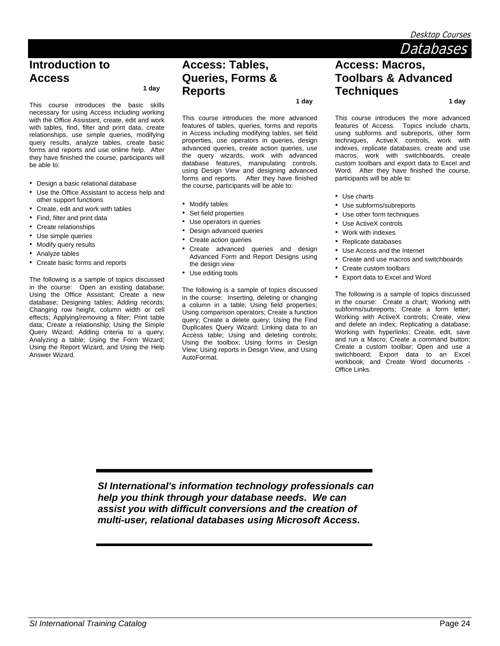Desktop Courses

 **1 day** 

Databases

# **Introduction to Access**

 **1 day** 

This course introduces the basic skills necessary for using Access including working with the Office Assistant, create, edit and work with tables, find, filter and print data, create relationships, use simple queries, modifying query results, analyze tables, create basic forms and reports and use online help. After they have finished the course, participants will be able to:

- Design a basic relational database
- Use the Office Assistant to access help and other support functions
- Create, edit and work with tables
- Find, filter and print data
- Create relationships
- Use simple queries
- Modify query results
- Analyze tables
- Create basic forms and reports

The following is a sample of topics discussed in the course: Open an existing database; Using the Office Assistant; Create a new database; Designing tables; Adding records; Changing row height, column width or cell effects; Applying/removing a filter; Print table data; Create a relationship; Using the Simple Query Wizard; Adding criteria to a query; Analyzing a table; Using the Form Wizard; Using the Report Wizard, and Using the Help Answer Wizard.

### **Access: Tables, Queries, Forms & Reports**

 **1 day** 

This course introduces the more advanced features of tables, queries, forms and reports in Access including modifying tables, set field properties, use operators in queries, design advanced queries, create action queries, use the query wizards, work with advanced database features, manipulating controls, using Design View and designing advanced forms and reports. After they have finished the course, participants will be able to:

- Modify tables
- Set field properties
- Use operators in queries
- Design advanced queries
- Create action queries
- Create advanced queries and design Advanced Form and Report Designs using the design view
- Use editing tools

The following is a sample of topics discussed in the course: Inserting, deleting or changing a column in a table; Using field properties; Using comparison operators; Create a function query; Create a delete query; Using the Find Duplicates Query Wizard; Linking data to an Access table; Using and deleting controls; Using the toolbox; Using forms in Design View; Using reports in Design View, and Using AutoFormat.

This course introduces the more advanced features of Access. Topics include charts, using subforms and subreports, other form techniques, ActiveX controls, work with indexes, replicate databases, create and use macros, work with switchboards, create custom toolbars and export data to Excel and Word. After they have finished the course, participants will be able to:

- Use charts
- Use subforms/subreports

**Access: Macros,** 

**Techniques** 

**Toolbars & Advanced** 

- Use other form techniques
- Use ActiveX controls
- Work with indexes
- Replicate databases
- Use Access and the Internet
- Create and use macros and switchboards
- Create custom toolbars
- Export data to Excel and Word

The following is a sample of topics discussed in the course: Create a chart; Working with subforms/subreports; Create a form letter; Working with ActiveX controls; Create, view and delete an index; Replicating a database; Working with hyperlinks; Create, edit, save and run a Macro; Create a command button; Create a custom toolbar; Open and use a switchboard; Export data to an Excel workbook, and Create Word documents - Office Links.

*SI International's information technology professionals can help you think through your database needs. We can assist you with difficult conversions and the creation of multi-user, relational databases using Microsoft Access.*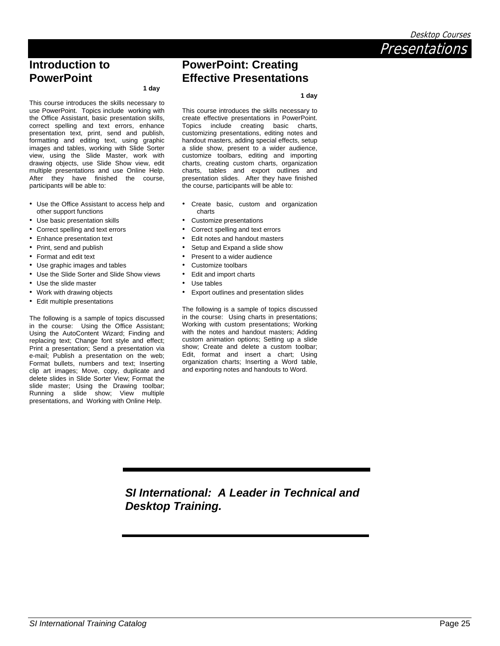Desktop Courses

**Presentations** 

### **Introduction to PowerPoint**

#### **1 day**

This course introduces the skills necessary to use PowerPoint. Topics include working with the Office Assistant, basic presentation skills, correct spelling and text errors, enhance presentation text, print, send and publish, formatting and editing text, using graphic images and tables, working with Slide Sorter view, using the Slide Master, work with drawing objects, use Slide Show view, edit multiple presentations and use Online Help. After they have finished the course, participants will be able to:

- Use the Office Assistant to access help and other support functions
- Use basic presentation skills
- Correct spelling and text errors
- Enhance presentation text
- Print, send and publish
- Format and edit text
- Use graphic images and tables
- Use the Slide Sorter and Slide Show views
- Use the slide master
- Work with drawing objects
- Edit multiple presentations

The following is a sample of topics discussed in the course: Using the Office Assistant; Using the AutoContent Wizard; Finding and replacing text; Change font style and effect; Print a presentation; Send a presentation via e-mail; Publish a presentation on the web; Format bullets, numbers and text; Inserting clip art images; Move, copy, duplicate and delete slides in Slide Sorter View; Format the slide master; Using the Drawing toolbar; Running a slide show; View multiple presentations, and Working with Online Help.

# **Effective Presentations**

#### **1 day**

This course introduces the skills necessary to create effective presentations in PowerPoint. Topics include creating basic charts, customizing presentations, editing notes and handout masters, adding special effects, setup a slide show, present to a wider audience, customize toolbars, editing and importing charts, creating custom charts, organization charts, tables and export outlines and presentation slides. After they have finished the course, participants will be able to:

**PowerPoint: Creating** 

- Create basic, custom and organization charts
- Customize presentations
- Correct spelling and text errors
- Edit notes and handout masters
- Setup and Expand a slide show
- Present to a wider audience
- Customize toolbars
- Edit and import charts
- Use tables
- Export outlines and presentation slides

The following is a sample of topics discussed in the course: Using charts in presentations; Working with custom presentations; Working with the notes and handout masters; Adding custom animation options; Setting up a slide show; Create and delete a custom toolbar; Edit, format and insert a chart; Using organization charts; Inserting a Word table, and exporting notes and handouts to Word.

*SI International: A Leader in Technical and Desktop Training.*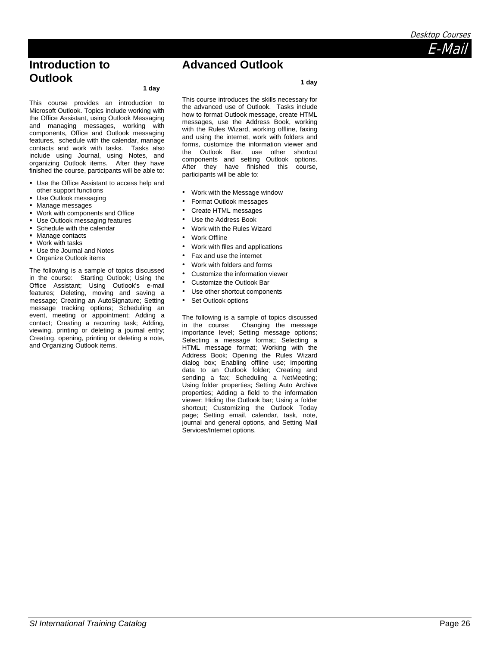### **Introduction to Outlook**

#### **1 day**

This course provides an introduction to Microsoft Outlook. Topics include working with the Office Assistant, using Outlook Messaging and managing messages, working with components, Office and Outlook messaging features, schedule with the calendar, manage contacts and work with tasks. Tasks also include using Journal, using Notes, and organizing Outlook items. After they have finished the course, participants will be able to:

- **Use the Office Assistant to access help and** other support functions
- Use Outlook messaging
- **Manage messages**
- Work with components and Office
- Use Outlook messaging features
- Schedule with the calendar
- **Manage contacts**
- **Work with tasks**
- **Use the Journal and Notes**
- **Organize Outlook items**

The following is a sample of topics discussed in the course: Starting Outlook; Using the Office Assistant; Using Outlook's e-mail features; Deleting, moving and saving a message; Creating an AutoSignature; Setting message tracking options; Scheduling an event, meeting or appointment; Adding a contact; Creating a recurring task; Adding, viewing, printing or deleting a journal entry; Creating, opening, printing or deleting a note, and Organizing Outlook items.

This course introduces the skills necessary for the advanced use of Outlook. Tasks include how to format Outlook message, create HTML messages, use the Address Book, working with the Rules Wizard, working offline, faxing and using the internet, work with folders and forms, customize the information viewer and the Outlook Bar, use other shortcut components and setting Outlook options. After they have finished this course, participants will be able to:

E-Mail

**Advanced Outlook** 

- Work with the Message window
- Format Outlook messages
- Create HTML messages
- Use the Address Book
- Work with the Rules Wizard
- Work Offline
- Work with files and applications
- Fax and use the internet
- Work with folders and forms
- Customize the information viewer
- Customize the Outlook Bar
- Use other shortcut components
- Set Outlook options

The following is a sample of topics discussed in the course: Changing the message importance level; Setting message options; Selecting a message format; Selecting a HTML message format; Working with the Address Book; Opening the Rules Wizard dialog box; Enabling offline use; Importing data to an Outlook folder; Creating and sending a fax; Scheduling a NetMeeting; Using folder properties; Setting Auto Archive properties; Adding a field to the information viewer; Hiding the Outlook bar; Using a folder shortcut; Customizing the Outlook Today page; Setting email, calendar, task, note, journal and general options, and Setting Mail Services/Internet options.

### **1 day**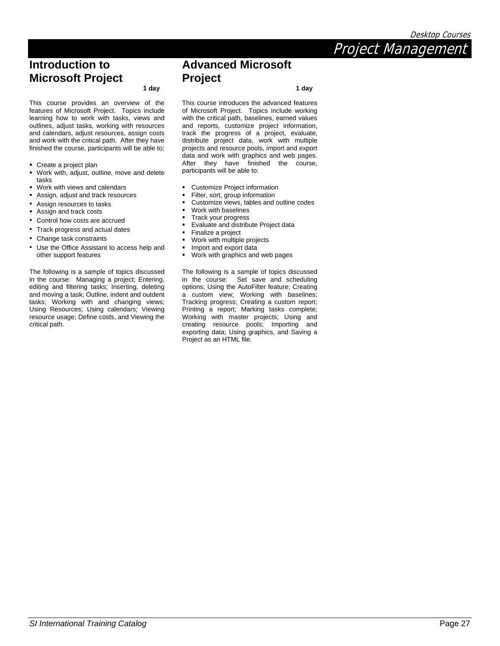Project Management

## **Introduction to Microsoft Project**

 **1 day** 

This course provides an overview of the features of Microsoft Project. Topics include learning how to work with tasks, views and outlines, adjust tasks, working with resources and calendars, adjust resources, assign costs and work with the critical path. After they have finished the course, participants will be able to:

- Create a project plan
- Work with, adjust, outline, move and delete tasks
- Work with views and calendars
- Assign, adjust and track resources
- Assign resources to tasks
- Assign and track costs
- Control how costs are accrued
- Track progress and actual dates
- Change task constraints
- Use the Office Assistant to access help and other support features

The following is a sample of topics discussed in the course: Managing a project; Entering, editing and filtering tasks; Inserting, deleting and moving a task; Outline, indent and outdent tasks; Working with and changing views; Using Resources; Using calendars; Viewing resource usage; Define costs, and Viewing the critical path.

### **Advanced Microsoft Project**

 **1 day** 

This course introduces the advanced features of Microsoft Project. Topics include working with the critical path, baselines, earned values and reports, customize project information, track the progress of a project, evaluate, distribute project data, work with multiple projects and resource pools, import and export data and work with graphics and web pages. After they have finished the course, participants will be able to:

- Customize Project information
- Filter, sort, group information
- Customize views, tables and outline codes
- Work with baselines
- Track your progress
- Evaluate and distribute Project data
- Finalize a project
- Work with multiple projects
- Import and export data
- Work with graphics and web pages

The following is a sample of topics discussed in the course: Set save and scheduling options; Using the AutoFilter feature; Creating a custom view; Working with baselines; Tracking progress; Creating a custom report; Printing a report; Marking tasks complete; Working with master projects; Using and creating resource pools; Importing and exporting data; Using graphics, and Saving a Project as an HTML file.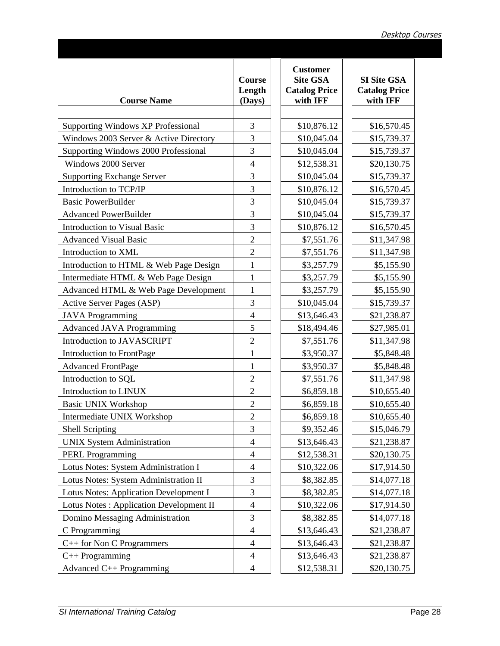| <b>Course Name</b>                             | <b>Course</b><br>Length<br>(Days) | <b>Customer</b><br><b>Site GSA</b><br><b>Catalog Price</b><br>with IFF | <b>SI Site GSA</b><br><b>Catalog Price</b><br>with IFF |
|------------------------------------------------|-----------------------------------|------------------------------------------------------------------------|--------------------------------------------------------|
|                                                |                                   |                                                                        |                                                        |
| <b>Supporting Windows XP Professional</b>      | 3                                 | \$10,876.12                                                            | \$16,570.45                                            |
| Windows 2003 Server & Active Directory         | $\overline{3}$                    | \$10,045.04                                                            | \$15,739.37                                            |
| Supporting Windows 2000 Professional           | 3                                 | \$10,045.04                                                            | \$15,739.37                                            |
| Windows 2000 Server                            | 4                                 | \$12,538.31                                                            | \$20,130.75                                            |
| <b>Supporting Exchange Server</b>              | 3                                 | \$10,045.04                                                            | \$15,739.37                                            |
| Introduction to TCP/IP                         | $\overline{3}$                    | \$10,876.12                                                            | \$16,570.45                                            |
| <b>Basic PowerBuilder</b>                      | $\overline{3}$                    | \$10,045.04                                                            | \$15,739.37                                            |
| <b>Advanced PowerBuilder</b>                   | $\overline{3}$                    | \$10,045.04                                                            | \$15,739.37                                            |
| Introduction to Visual Basic                   | 3                                 | \$10,876.12                                                            | \$16,570.45                                            |
| <b>Advanced Visual Basic</b>                   | $\overline{2}$                    | \$7,551.76                                                             | \$11,347.98                                            |
| Introduction to XML                            | $\overline{2}$                    | \$7,551.76                                                             | \$11,347.98                                            |
| Introduction to HTML & Web Page Design         | $\mathbf{1}$                      | \$3,257.79                                                             | \$5,155.90                                             |
| Intermediate HTML & Web Page Design            | $\mathbf{1}$                      | \$3,257.79                                                             | \$5,155.90                                             |
| Advanced HTML & Web Page Development           | $\mathbf{1}$                      | \$3,257.79                                                             | \$5,155.90                                             |
| Active Server Pages (ASP)                      | 3                                 | \$10,045.04                                                            | \$15,739.37                                            |
| <b>JAVA Programming</b>                        | 4                                 | \$13,646.43                                                            | \$21,238.87                                            |
| <b>Advanced JAVA Programming</b>               | 5                                 | \$18,494.46                                                            | \$27,985.01                                            |
| Introduction to JAVASCRIPT                     | $\overline{2}$                    | \$7,551.76                                                             | \$11,347.98                                            |
| Introduction to FrontPage                      | $\mathbf{1}$                      | \$3,950.37                                                             | \$5,848.48                                             |
| <b>Advanced FrontPage</b>                      | $\mathbf{1}$                      | \$3,950.37                                                             | \$5,848.48                                             |
| Introduction to SQL                            | $\overline{2}$                    | \$7,551.76                                                             | \$11,347.98                                            |
| Introduction to LINUX                          | $\overline{2}$                    | \$6,859.18                                                             | \$10,655.40                                            |
| <b>Basic UNIX Workshop</b>                     | $\overline{2}$                    | \$6,859.18                                                             | \$10,655.40                                            |
| Intermediate UNIX Workshop                     | $\overline{c}$                    | \$6,859.18                                                             | \$10,655.40                                            |
| <b>Shell Scripting</b>                         | 3                                 | \$9,352.46                                                             | \$15,046.79                                            |
| <b>UNIX System Administration</b>              | 4                                 | \$13,646.43                                                            | \$21,238.87                                            |
| <b>PERL Programming</b>                        | 4                                 | \$12,538.31                                                            | \$20,130.75                                            |
| Lotus Notes: System Administration I           | 4                                 | \$10,322.06                                                            | \$17,914.50                                            |
| Lotus Notes: System Administration II          | 3                                 | \$8,382.85                                                             | \$14,077.18                                            |
| Lotus Notes: Application Development I         | 3                                 | \$8,382.85                                                             | \$14,077.18                                            |
| <b>Lotus Notes: Application Development II</b> | 4                                 | \$10,322.06                                                            | \$17,914.50                                            |
| Domino Messaging Administration                | 3                                 | \$8,382.85                                                             | \$14,077.18                                            |
| C Programming                                  | 4                                 | \$13,646.43                                                            | \$21,238.87                                            |
| C++ for Non C Programmers                      | 4                                 | \$13,646.43                                                            | \$21,238.87                                            |
| $C++$ Programming                              | 4                                 | \$13,646.43                                                            | \$21,238.87                                            |
| Advanced $C_{++}$ Programming                  | 4                                 | \$12,538.31                                                            | \$20,130.75                                            |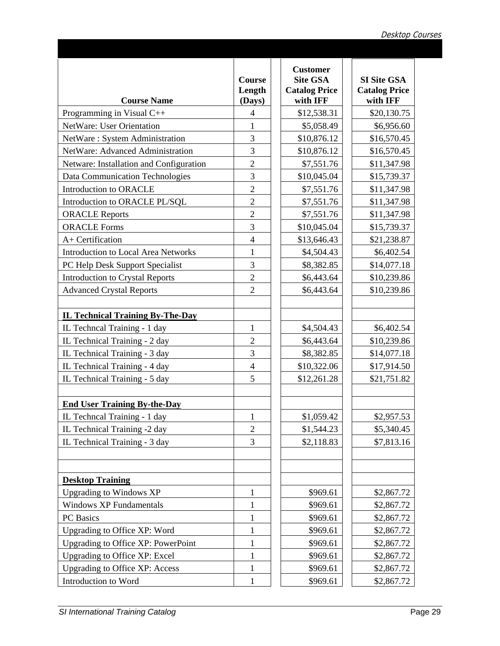| <b>Course Name</b>                         | <b>Course</b><br>Length<br>(Days) | <b>Customer</b><br><b>Site GSA</b><br><b>Catalog Price</b><br>with IFF |             | <b>SI Site GSA</b><br><b>Catalog Price</b><br>with IFF |
|--------------------------------------------|-----------------------------------|------------------------------------------------------------------------|-------------|--------------------------------------------------------|
| Programming in Visual C++                  | 4                                 | \$12,538.31                                                            |             | \$20,130.75                                            |
| NetWare: User Orientation                  | $\mathbf{1}$                      | \$5,058.49                                                             |             | \$6,956.60                                             |
| NetWare: System Administration             | $\overline{3}$                    | \$10,876.12                                                            |             | \$16,570.45                                            |
| NetWare: Advanced Administration           | 3                                 | \$10,876.12                                                            |             | \$16,570.45                                            |
| Netware: Installation and Configuration    | $\overline{2}$                    | \$7,551.76                                                             |             | \$11,347.98                                            |
| Data Communication Technologies            | 3                                 | \$10,045.04                                                            | \$15,739.37 |                                                        |
| Introduction to ORACLE                     | $\overline{2}$                    | \$7,551.76                                                             | \$11,347.98 |                                                        |
| Introduction to ORACLE PL/SQL              | $\overline{2}$                    | \$7,551.76                                                             |             | \$11,347.98                                            |
| <b>ORACLE</b> Reports                      | $\overline{2}$                    | \$7,551.76                                                             |             | \$11,347.98                                            |
| <b>ORACLE Forms</b>                        | 3                                 | \$10,045.04                                                            |             | \$15,739.37                                            |
| A+ Certification                           | $\overline{4}$                    | \$13,646.43                                                            |             | \$21,238.87                                            |
| <b>Introduction to Local Area Networks</b> | $\mathbf{1}$                      | \$4,504.43                                                             |             | \$6,402.54                                             |
| PC Help Desk Support Specialist            | 3                                 | \$8,382.85                                                             |             | \$14,077.18                                            |
| <b>Introduction to Crystal Reports</b>     | $\overline{2}$                    | \$6,443.64                                                             |             | \$10,239.86                                            |
| <b>Advanced Crystal Reports</b>            | $\overline{2}$                    | \$6,443.64                                                             |             | \$10,239.86                                            |
|                                            |                                   |                                                                        |             |                                                        |
| <b>IL Technical Training By-The-Day</b>    |                                   |                                                                        |             |                                                        |
| IL Techneal Training - 1 day               | $\mathbf{1}$                      | \$4,504.43                                                             |             | \$6,402.54                                             |
| IL Technical Training - 2 day              | $\overline{2}$                    | \$6,443.64                                                             |             | \$10,239.86                                            |
| IL Technical Training - 3 day              | $\overline{3}$                    | \$8,382.85                                                             |             | \$14,077.18                                            |
| IL Technical Training - 4 day              | $\overline{4}$                    | \$10,322.06                                                            |             | \$17,914.50                                            |
| IL Technical Training - 5 day              | 5                                 | \$12,261.28                                                            |             | \$21,751.82                                            |
| <b>End User Training By-the-Day</b>        |                                   |                                                                        |             |                                                        |
| IL Techneal Training - 1 day               | $\mathbf{1}$                      | \$1,059.42                                                             |             | \$2,957.53                                             |
| IL Technical Training -2 day               | $\overline{2}$                    | \$1,544.23                                                             |             | \$5,340.45                                             |
| IL Technical Training - 3 day              | $\overline{3}$                    | \$2,118.83                                                             |             | \$7,813.16                                             |
|                                            |                                   |                                                                        |             |                                                        |
| <b>Desktop Training</b>                    |                                   |                                                                        |             |                                                        |
| <b>Upgrading to Windows XP</b>             | $\mathbf{1}$                      | \$969.61                                                               |             | \$2,867.72                                             |
| <b>Windows XP Fundamentals</b>             | $\mathbf{1}$                      | \$969.61                                                               |             | \$2,867.72                                             |
| PC Basics                                  | 1                                 | \$969.61                                                               |             | \$2,867.72                                             |
| Upgrading to Office XP: Word               |                                   | \$969.61                                                               |             | \$2,867.72                                             |
| Upgrading to Office XP: PowerPoint         | $\mathbf{1}$                      | \$969.61                                                               |             | \$2,867.72                                             |
| <b>Upgrading to Office XP: Excel</b>       | 1                                 | \$969.61                                                               |             | \$2,867.72                                             |
| <b>Upgrading to Office XP: Access</b>      | $\mathbf{1}$                      | \$969.61                                                               |             | \$2,867.72                                             |
| Introduction to Word                       |                                   | \$969.61                                                               |             | \$2,867.72                                             |